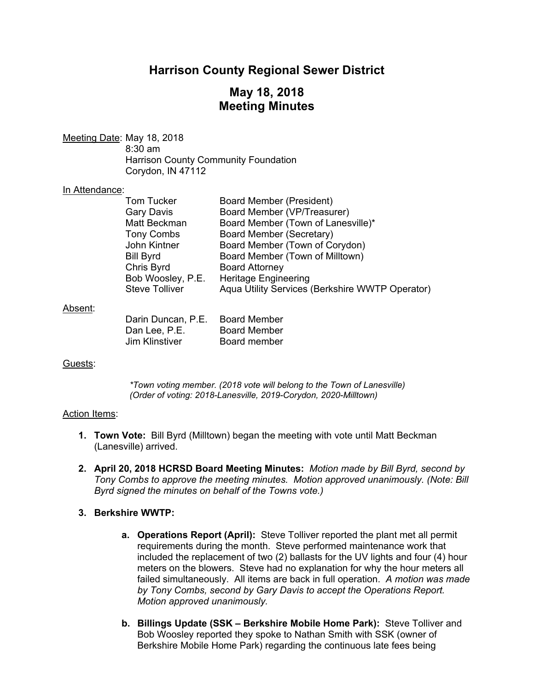# **Harrison County Regional Sewer District**

## **May 18, 2018 Meeting Minutes**

Meeting Date: May 18, 2018

 8:30 am Harrison County Community Foundation Corydon, IN 47112

### In Attendance:

| <b>Board Member (President)</b>                 |
|-------------------------------------------------|
| Board Member (VP/Treasurer)                     |
| Board Member (Town of Lanesville)*              |
| Board Member (Secretary)                        |
| Board Member (Town of Corydon)                  |
| Board Member (Town of Milltown)                 |
| <b>Board Attorney</b>                           |
| <b>Heritage Engineering</b>                     |
| Aqua Utility Services (Berkshire WWTP Operator) |
|                                                 |

### Absent:

| Darin Duncan, P.E. | <b>Board Member</b> |
|--------------------|---------------------|
| Dan Lee, P.E.      | <b>Board Member</b> |
| Jim Klinstiver     | Board member        |

## Guests:

*\*Town voting member. (2018 vote will belong to the Town of Lanesville) (Order of voting: 2018-Lanesville, 2019-Corydon, 2020-Milltown)* 

### Action Items:

- **1. Town Vote:** Bill Byrd (Milltown) began the meeting with vote until Matt Beckman (Lanesville) arrived.
- **2. April 20, 2018 HCRSD Board Meeting Minutes:** *Motion made by Bill Byrd, second by Tony Combs to approve the meeting minutes. Motion approved unanimously. (Note: Bill Byrd signed the minutes on behalf of the Towns vote.)*

## **3. Berkshire WWTP:**

- **a. Operations Report (April):** Steve Tolliver reported the plant met all permit requirements during the month. Steve performed maintenance work that included the replacement of two (2) ballasts for the UV lights and four (4) hour meters on the blowers. Steve had no explanation for why the hour meters all failed simultaneously. All items are back in full operation. *A motion was made by Tony Combs, second by Gary Davis to accept the Operations Report. Motion approved unanimously.*
- **b. Billings Update (SSK Berkshire Mobile Home Park):** Steve Tolliver and Bob Woosley reported they spoke to Nathan Smith with SSK (owner of Berkshire Mobile Home Park) regarding the continuous late fees being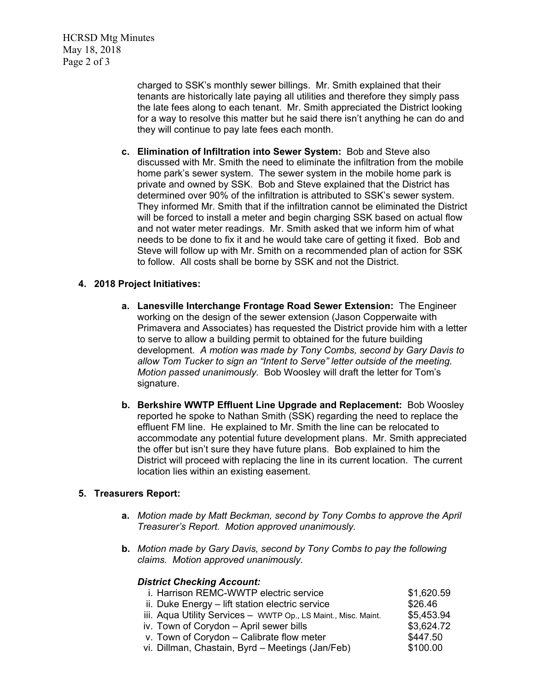HCRSD Mtg Minutes May 18, 2018 Page 2 of 3

> charged to SSK's monthly sewer billings. Mr. Smith explained that their tenants are historically late paying all utilities and therefore they simply pass the late fees along to each tenant. Mr. Smith appreciated the District looking for a way to resolve this matter but he said there isn't anything he can do and they will continue to pay late fees each month.

**c. Elimination of Infiltration into Sewer System:** Bob and Steve also discussed with Mr. Smith the need to eliminate the infiltration from the mobile home park's sewer system. The sewer system in the mobile home park is private and owned by SSK. Bob and Steve explained that the District has determined over 90% of the infiltration is attributed to SSK's sewer system. They informed Mr. Smith that if the infiltration cannot be eliminated the District will be forced to install a meter and begin charging SSK based on actual flow and not water meter readings. Mr. Smith asked that we inform him of what needs to be done to fix it and he would take care of getting it fixed. Bob and Steve will follow up with Mr. Smith on a recommended plan of action for SSK to follow. All costs shall be borne by SSK and not the District.

## **4. 2018 Project Initiatives:**

- **a. Lanesville Interchange Frontage Road Sewer Extension:** The Engineer working on the design of the sewer extension (Jason Copperwaite with Primavera and Associates) has requested the District provide him with a letter to serve to allow a building permit to obtained for the future building development. *A motion was made by Tony Combs, second by Gary Davis to allow Tom Tucker to sign an "Intent to Serve" letter outside of the meeting. Motion passed unanimously.* Bob Woosley will draft the letter for Tom's signature.
- **b. Berkshire WWTP Effluent Line Upgrade and Replacement:** Bob Woosley reported he spoke to Nathan Smith (SSK) regarding the need to replace the effluent FM line. He explained to Mr. Smith the line can be relocated to accommodate any potential future development plans. Mr. Smith appreciated the offer but isn't sure they have future plans. Bob explained to him the District will proceed with replacing the line in its current location. The current location lies within an existing easement.

### **5. Treasurers Report:**

- **a.** *Motion made by Matt Beckman, second by Tony Combs to approve the April Treasurer's Report. Motion approved unanimously.*
- **b.** *Motion made by Gary Davis, second by Tony Combs to pay the following claims. Motion approved unanimously.*

## *District Checking Account:*

| i. Harrison REMC-WWTP electric service                         | \$1,620.59 |
|----------------------------------------------------------------|------------|
| ii. Duke Energy - lift station electric service                | \$26.46    |
| iii. Aqua Utility Services - WWTP Op., LS Maint., Misc. Maint. | \$5,453.94 |
| iv. Town of Corydon - April sewer bills                        | \$3,624.72 |
| v. Town of Corydon - Calibrate flow meter                      | \$447.50   |
| vi. Dillman, Chastain, Byrd – Meetings (Jan/Feb)               | \$100.00   |
|                                                                |            |